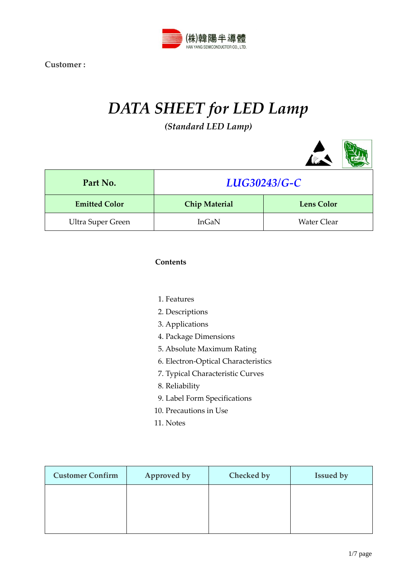

# *DATA SHEET for LED Lamp (Standard LED Lamp)*

| Part No.                 | LUG30243/G-C         |                    |  |  |
|--------------------------|----------------------|--------------------|--|--|
| <b>Emitted Color</b>     | <b>Chip Material</b> | <b>Lens Color</b>  |  |  |
| <b>Ultra Super Green</b> | InGaN                | <b>Water Clear</b> |  |  |

## **Contents**

- 1. Features
- 2. Descriptions
- 3. Applications
- 4. Package Dimensions
- 5. Absolute Maximum Rating
- 6. Electron-Optical Characteristics
- 7. Typical Characteristic Curves
- 8. Reliability
- 9. Label Form Specifications
- 10. Precautions in Use
- 11. Notes

| <b>Customer Confirm</b> | Approved by | Checked by | <b>Issued by</b> |
|-------------------------|-------------|------------|------------------|
|                         |             |            |                  |
|                         |             |            |                  |
|                         |             |            |                  |

 $\sim$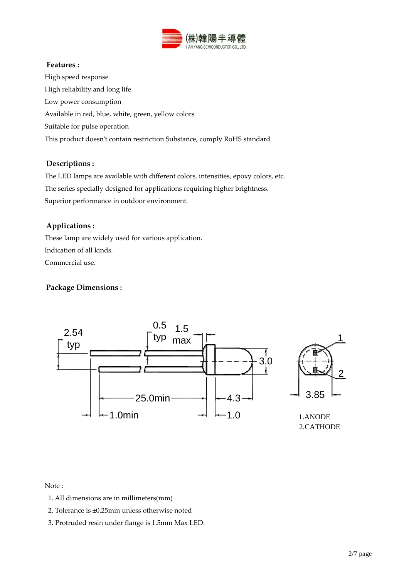

## **Features :**

High speed response High reliability and long life Low power consumption Available in red, blue, white, green, yellow colors Suitable for pulse operation This product doesn't contain restriction Substance, comply RoHS standard

## **Descriptions :**

The LED lamps are available with different colors, intensities, epoxy colors, etc. The series specially designed for applications requiring higher brightness. Superior performance in outdoor environment.

## **Applications :**

These lamp are widely used for various application. Indication of all kinds. Commercial use.

## **Package Dimensions :**



Note :

- 1. All dimensions are in millimeters(mm)
- 2. Tolerance is ±0.25mm unless otherwise noted
- 3. Protruded resin under flange is 1.5mm Max LED.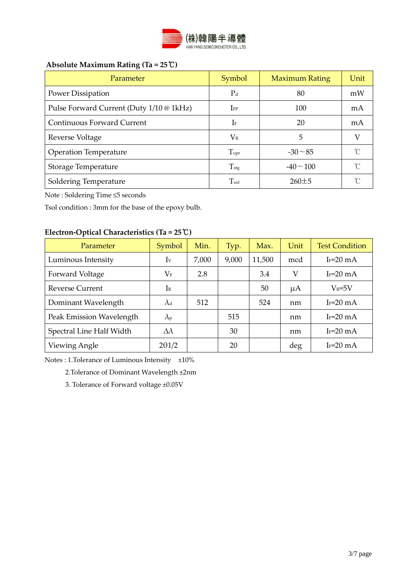

## **Absolute Maximum Rating (Ta = 25**℃**)**

| Parameter                                | Symbol             | <b>Maximum Rating</b> | Unit |
|------------------------------------------|--------------------|-----------------------|------|
| Power Dissipation                        | $P_d$              | 80                    | mW   |
| Pulse Forward Current (Duty 1/10 @ 1kHz) | ${\rm I}_{\rm FP}$ | 100                   | mA   |
| <b>Continuous Forward Current</b>        | $\rm I$ F          | 20                    | mA   |
| Reverse Voltage                          | $V_{R}$            | 5                     |      |
| <b>Operation Temperature</b>             | $T_{\rm opt}$      | $-30 \sim 85$         | n    |
| Storage Temperature                      | $T_{\rm stg}$      | $-40 \sim 100$        | ∽    |
| Soldering Temperature                    | $T_{\rm sol}$      | $260 \pm 5$           |      |

Note : Soldering Time ≤5 seconds

Tsol condition : 3mm for the base of the epoxy bulb.

## **Electron-Optical Characteristics (Ta = 25**℃**)**

| Parameter                | Symbol            | Min.  | Typ.  | Max.   | Unit | <b>Test Condition</b> |
|--------------------------|-------------------|-------|-------|--------|------|-----------------------|
| Luminous Intensity       | Iv                | 7,000 | 9,000 | 11,500 | mcd  | $I_F=20 \text{ mA}$   |
| Forward Voltage          | $\rm V_F$         | 2.8   |       | 3.4    | V    | $I_F=20 \text{ mA}$   |
| <b>Reverse Current</b>   | IR                |       |       | 50     | μA   | $V_R = 5V$            |
| Dominant Wavelength      | $\lambda$ d       | 512   |       | 524    | nm   | $I_F=20 \text{ mA}$   |
| Peak Emission Wavelength | $\lambda_{\rm P}$ |       | 515   |        | nm   | $I_F=20 \text{ mA}$   |
| Spectral Line Half Width | $\Delta\lambda$   |       | 30    |        | nm   | $I_F=20 \text{ mA}$   |
| Viewing Angle            | $2\theta$ 1/2     |       | 20    |        | deg  | $I_F=20 \text{ mA}$   |

Notes : 1.Tolerance of Luminous Intensity ±10%

2.Tolerance of Dominant Wavelength ±2nm

3. Tolerance of Forward voltage ±0.05V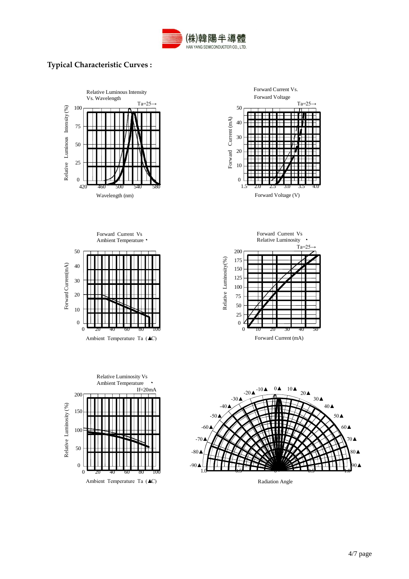

## **Typical Characteristic Curves :**



Radiation Angle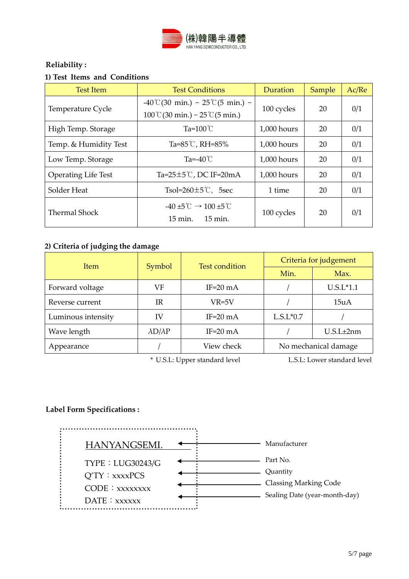

## **Reliability :**

## **1) Test Items and Conditions**

| <b>Test Item</b>           | <b>Test Conditions</b>                                                                                      | Duration    | Sample | Ac/Re |
|----------------------------|-------------------------------------------------------------------------------------------------------------|-------------|--------|-------|
| Temperature Cycle          | $-40^{\circ}$ (30 min.) ~ 25 °C(5 min.) ~<br>$100\degree$ (30 min.) ~ 25 $\degree$ (5 min.)                 | 100 cycles  | 20     | 0/1   |
| High Temp. Storage         | Ta= $100^{\circ}$ C                                                                                         | 1,000 hours | 20     | 0/1   |
| Temp. & Humidity Test      | Ta=85℃, RH=85%                                                                                              | 1,000 hours |        | 0/1   |
| Low Temp. Storage          | Ta=-40 $\degree$ C                                                                                          | 1,000 hours | 20     | 0/1   |
| <b>Operating Life Test</b> | Ta= $25\pm5$ °C, DC IF=20mA                                                                                 | 1,000 hours | 20     | 0/1   |
| Solder Heat                | Tsol= $260 \pm 5$ °C, 5sec                                                                                  | 1 time      | 20     | 0/1   |
| Thermal Shock              | $-40 \pm 5^{\circ}$ $\degree$ $\rightarrow 100 \pm 5^{\circ}$ $\degree$<br>15 min.<br>$15 \,\mathrm{min}$ . | 100 cycles  | 20     | 0/1   |

## **2) Criteria of judging the damage**

| <b>Item</b>        | Symbol                | <b>Test condition</b> | Criteria for judgement |                |  |
|--------------------|-----------------------|-----------------------|------------------------|----------------|--|
|                    |                       |                       | Min.                   | Max.           |  |
| Forward voltage    | VF                    | IF=20 $mA$            |                        | $U.S.L*1.1$    |  |
| Reverse current    | IR                    | VR=5V                 |                        | 15uA           |  |
| Luminous intensity | IV                    | IF=20 $mA$            | $L.S.L*0.7$            |                |  |
| Wave length        | $\lambda D/\lambda P$ | $IF=20mA$             |                        | $U.S.L\pm 2nm$ |  |
| Appearance         |                       | View check            | No mechanical damage   |                |  |

\* U.S.L: Upper standard level L.S.L: Lower standard level

## **Label Form Specifications :**

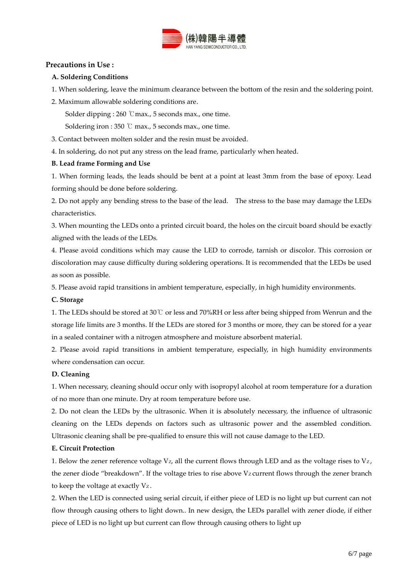

#### **Precautions in Use :**

#### **A. Soldering Conditions**

1. When soldering, leave the minimum clearance between the bottom of the resin and the soldering point.

2. Maximum allowable soldering conditions are.

Solder dipping : 260 ℃max., 5 seconds max., one time.

Soldering iron : 350 ℃ max., 5 seconds max., one time.

3. Contact between molten solder and the resin must be avoided.

4. In soldering, do not put any stress on the lead frame, particularly when heated.

#### **B. Lead frame Forming and Use**

1. When forming leads, the leads should be bent at a point at least 3mm from the base of epoxy. Lead forming should be done before soldering.

2. Do not apply any bending stress to the base of the lead. The stress to the base may damage the LEDs characteristics.

3. When mounting the LEDs onto a printed circuit board, the holes on the circuit board should be exactly aligned with the leads of the LEDs.

4. Please avoid conditions which may cause the LED to corrode, tarnish or discolor. This corrosion or discoloration may cause difficulty during soldering operations. It is recommended that the LEDs be used as soon as possible.

5. Please avoid rapid transitions in ambient temperature, especially, in high humidity environments.

#### **C. Storage**

1. The LEDs should be stored at 30℃ or less and 70%RH or less after being shipped from Wenrun and the storage life limits are 3 months. If the LEDs are stored for 3 months or more, they can be stored for a year in a sealed container with a nitrogen atmosphere and moisture absorbent material.

2. Please avoid rapid transitions in ambient temperature, especially, in high humidity environments where condensation can occur.

#### **D. Cleaning**

1. When necessary, cleaning should occur only with isopropyl alcohol at room temperature for a duration of no more than one minute. Dry at room temperature before use.

2. Do not clean the LEDs by the ultrasonic. When it is absolutely necessary, the influence of ultrasonic cleaning on the LEDs depends on factors such as ultrasonic power and the assembled condition. Ultrasonic cleaning shall be pre-qualified to ensure this will not cause damage to the LED.

## **E. Circuit Protection**

1. Below the zener reference voltage  $V_z$ , all the current flows through LED and as the voltage rises to  $V_z$ , the zener diode "breakdown". If the voltage tries to rise above  $Vz$  current flows through the zener branch to keep the voltage at exactly Vz.

2. When the LED is connected using serial circuit, if either piece of LED is no light up but current can not flow through causing others to light down.. In new design, the LEDs parallel with zener diode, if either piece of LED is no light up but current can flow through causing others to light up